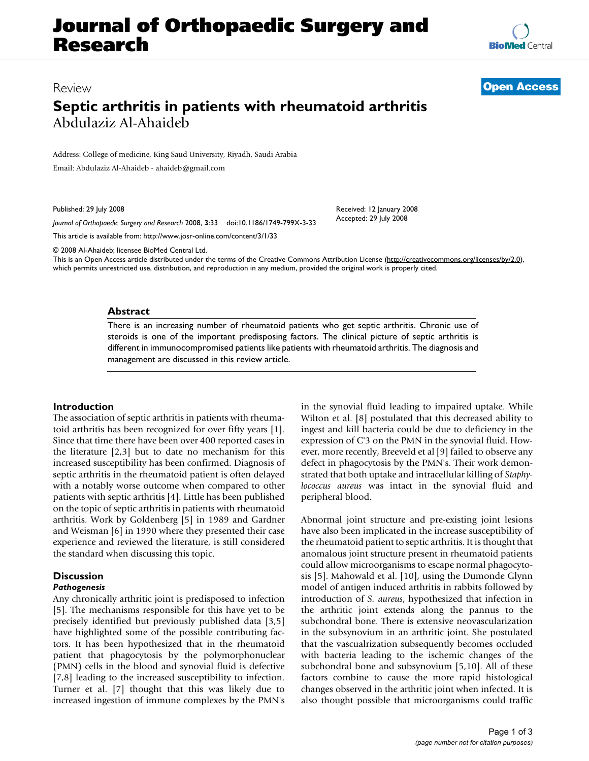# **Journal of Orthopaedic Surgery and Research**

**[BioMed](http://www.biomedcentral.com/)** Central

## Review **[Open Access](http://www.biomedcentral.com/info/about/charter/)**

# **Septic arthritis in patients with rheumatoid arthritis** Abdulaziz Al-Ahaideb

Address: College of medicine, King Saud University, Riyadh, Saudi Arabia

Email: Abdulaziz Al-Ahaideb - ahaideb@gmail.com

Published: 29 July 2008

*Journal of Orthopaedic Surgery and Research* 2008, **3**:33 doi:10.1186/1749-799X-3-33

[This article is available from: http://www.josr-online.com/content/3/1/33](http://www.josr-online.com/content/3/1/33)

© 2008 Al-Ahaideb; licensee BioMed Central Ltd.

This is an Open Access article distributed under the terms of the Creative Commons Attribution License [\(http://creativecommons.org/licenses/by/2.0\)](http://creativecommons.org/licenses/by/2.0), which permits unrestricted use, distribution, and reproduction in any medium, provided the original work is properly cited.

#### **Abstract**

There is an increasing number of rheumatoid patients who get septic arthritis. Chronic use of steroids is one of the important predisposing factors. The clinical picture of septic arthritis is different in immunocompromised patients like patients with rheumatoid arthritis. The diagnosis and management are discussed in this review article.

## **Introduction**

The association of septic arthritis in patients with rheumatoid arthritis has been recognized for over fifty years [1]. Since that time there have been over 400 reported cases in the literature [2,3] but to date no mechanism for this increased susceptibility has been confirmed. Diagnosis of septic arthritis in the rheumatoid patient is often delayed with a notably worse outcome when compared to other patients with septic arthritis [4]. Little has been published on the topic of septic arthritis in patients with rheumatoid arthritis. Work by Goldenberg [5] in 1989 and Gardner and Weisman [6] in 1990 where they presented their case experience and reviewed the literature, is still considered the standard when discussing this topic.

## **Discussion**

## *Pathogenesis*

Any chronically arthritic joint is predisposed to infection [5]. The mechanisms responsible for this have yet to be precisely identified but previously published data [3,5] have highlighted some of the possible contributing factors. It has been hypothesized that in the rheumatoid patient that phagocytosis by the polymorphonuclear (PMN) cells in the blood and synovial fluid is defective [7,8] leading to the increased susceptibility to infection. Turner et al. [7] thought that this was likely due to increased ingestion of immune complexes by the PMN's in the synovial fluid leading to impaired uptake. While Wilton et al. [8] postulated that this decreased ability to ingest and kill bacteria could be due to deficiency in the expression of C'3 on the PMN in the synovial fluid. However, more recently, Breeveld et al [9] failed to observe any defect in phagocytosis by the PMN's. Their work demonstrated that both uptake and intracellular killing of *Staphylococcus aureus* was intact in the synovial fluid and peripheral blood.

Received: 12 January 2008 Accepted: 29 July 2008

Abnormal joint structure and pre-existing joint lesions have also been implicated in the increase susceptibility of the rheumatoid patient to septic arthritis. It is thought that anomalous joint structure present in rheumatoid patients could allow microorganisms to escape normal phagocytosis [5]. Mahowald et al. [10], using the Dumonde Glynn model of antigen induced arthritis in rabbits followed by introduction of *S. aureus*, hypothesized that infection in the arthritic joint extends along the pannus to the subchondral bone. There is extensive neovascularization in the subsynovium in an arthritic joint. She postulated that the vascualrization subsequently becomes occluded with bacteria leading to the ischemic changes of the subchondral bone and subsynovium [5,10]. All of these factors combine to cause the more rapid histological changes observed in the arthritic joint when infected. It is also thought possible that microorganisms could traffic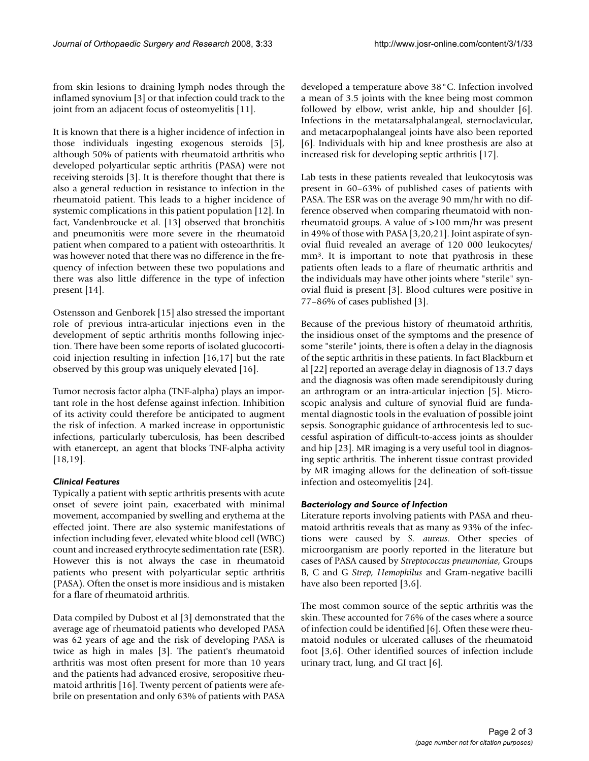from skin lesions to draining lymph nodes through the inflamed synovium [3] or that infection could track to the joint from an adjacent focus of osteomyelitis [11].

It is known that there is a higher incidence of infection in those individuals ingesting exogenous steroids [5], although 50% of patients with rheumatoid arthritis who developed polyarticular septic arthritis (PASA) were not receiving steroids [3]. It is therefore thought that there is also a general reduction in resistance to infection in the rheumatoid patient. This leads to a higher incidence of systemic complications in this patient population [12]. In fact, Vandenbroucke et al. [13] observed that bronchitis and pneumonitis were more severe in the rheumatoid patient when compared to a patient with osteoarthritis. It was however noted that there was no difference in the frequency of infection between these two populations and there was also little difference in the type of infection present [14].

Ostensson and Genborek [15] also stressed the important role of previous intra-articular injections even in the development of septic arthritis months following injection. There have been some reports of isolated glucocorticoid injection resulting in infection [16,17] but the rate observed by this group was uniquely elevated [16].

Tumor necrosis factor alpha (TNF-alpha) plays an important role in the host defense against infection. Inhibition of its activity could therefore be anticipated to augment the risk of infection. A marked increase in opportunistic infections, particularly tuberculosis, has been described with etanercept, an agent that blocks TNF-alpha activity [18,19].

## *Clinical Features*

Typically a patient with septic arthritis presents with acute onset of severe joint pain, exacerbated with minimal movement, accompanied by swelling and erythema at the effected joint. There are also systemic manifestations of infection including fever, elevated white blood cell (WBC) count and increased erythrocyte sedimentation rate (ESR). However this is not always the case in rheumatoid patients who present with polyarticular septic arthritis (PASA). Often the onset is more insidious and is mistaken for a flare of rheumatoid arthritis.

Data compiled by Dubost et al [3] demonstrated that the average age of rheumatoid patients who developed PASA was 62 years of age and the risk of developing PASA is twice as high in males [3]. The patient's rheumatoid arthritis was most often present for more than 10 years and the patients had advanced erosive, seropositive rheumatoid arthritis [16]. Twenty percent of patients were afebrile on presentation and only 63% of patients with PASA

developed a temperature above 38°C. Infection involved a mean of 3.5 joints with the knee being most common followed by elbow, wrist ankle, hip and shoulder [6]. Infections in the metatarsalphalangeal, sternoclavicular, and metacarpophalangeal joints have also been reported [6]. Individuals with hip and knee prosthesis are also at increased risk for developing septic arthritis [17].

Lab tests in these patients revealed that leukocytosis was present in 60–63% of published cases of patients with PASA. The ESR was on the average 90 mm/hr with no difference observed when comparing rheumatoid with nonrheumatoid groups. A value of >100 mm/hr was present in 49% of those with PASA [3,20,21]. Joint aspirate of synovial fluid revealed an average of 120 000 leukocytes/ mm<sup>3</sup>. It is important to note that pyathrosis in these patients often leads to a flare of rheumatic arthritis and the individuals may have other joints where "sterile" synovial fluid is present [3]. Blood cultures were positive in 77–86% of cases published [3].

Because of the previous history of rheumatoid arthritis, the insidious onset of the symptoms and the presence of some "sterile" joints, there is often a delay in the diagnosis of the septic arthritis in these patients. In fact Blackburn et al [22] reported an average delay in diagnosis of 13.7 days and the diagnosis was often made serendipitously during an arthrogram or an intra-articular injection [5]. Microscopic analysis and culture of synovial fluid are fundamental diagnostic tools in the evaluation of possible joint sepsis. Sonographic guidance of arthrocentesis led to successful aspiration of difficult-to-access joints as shoulder and hip [23]. MR imaging is a very useful tool in diagnosing septic arthritis. The inherent tissue contrast provided by MR imaging allows for the delineation of soft-tissue infection and osteomyelitis [24].

#### *Bacteriology and Source of Infection*

Literature reports involving patients with PASA and rheumatoid arthritis reveals that as many as 93% of the infections were caused by *S. aureus*. Other species of microorganism are poorly reported in the literature but cases of PASA caused by *Streptococcus pneumoniae*, Groups B, C and G *Strep, Hemophilus* and Gram-negative bacilli have also been reported [3,6].

The most common source of the septic arthritis was the skin. These accounted for 76% of the cases where a source of infection could be identified [6]. Often these were rheumatoid nodules or ulcerated calluses of the rheumatoid foot [3,6]. Other identified sources of infection include urinary tract, lung, and GI tract [6].